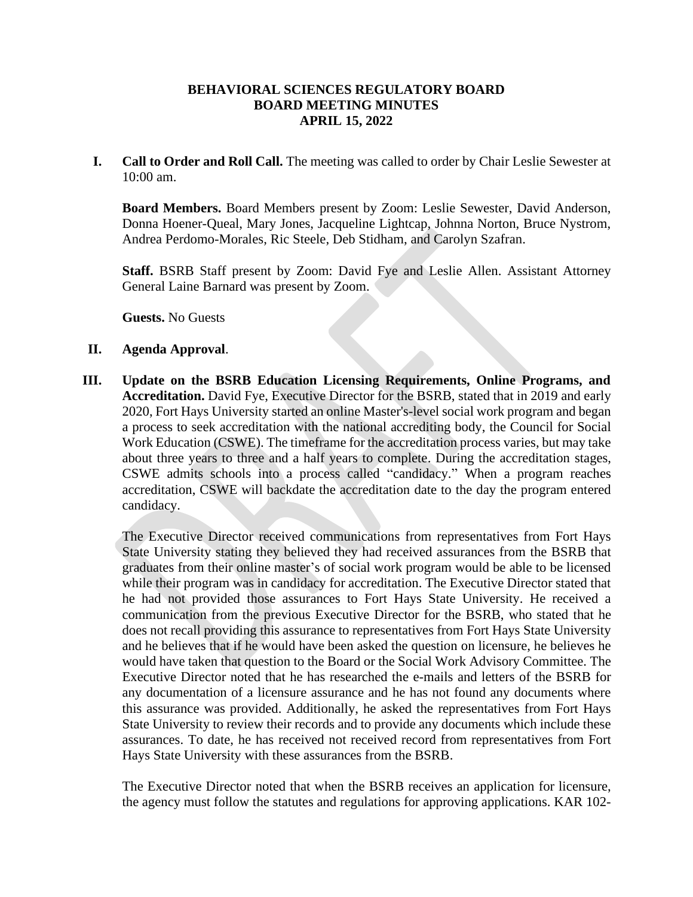## **BEHAVIORAL SCIENCES REGULATORY BOARD BOARD MEETING MINUTES APRIL 15, 2022**

**I. Call to Order and Roll Call.** The meeting was called to order by Chair Leslie Sewester at 10:00 am.

**Board Members.** Board Members present by Zoom: Leslie Sewester, David Anderson, Donna Hoener-Queal, Mary Jones, Jacqueline Lightcap, Johnna Norton, Bruce Nystrom, Andrea Perdomo-Morales, Ric Steele, Deb Stidham, and Carolyn Szafran.

**Staff.** BSRB Staff present by Zoom: David Fye and Leslie Allen. Assistant Attorney General Laine Barnard was present by Zoom.

**Guests.** No Guests

## **II. Agenda Approval**.

**III. Update on the BSRB Education Licensing Requirements, Online Programs, and Accreditation.** David Fye, Executive Director for the BSRB, stated that in 2019 and early 2020, Fort Hays University started an online Master's-level social work program and began a process to seek accreditation with the national accrediting body, the Council for Social Work Education (CSWE). The timeframe for the accreditation process varies, but may take about three years to three and a half years to complete. During the accreditation stages, CSWE admits schools into a process called "candidacy." When a program reaches accreditation, CSWE will backdate the accreditation date to the day the program entered candidacy.

The Executive Director received communications from representatives from Fort Hays State University stating they believed they had received assurances from the BSRB that graduates from their online master's of social work program would be able to be licensed while their program was in candidacy for accreditation. The Executive Director stated that he had not provided those assurances to Fort Hays State University. He received a communication from the previous Executive Director for the BSRB, who stated that he does not recall providing this assurance to representatives from Fort Hays State University and he believes that if he would have been asked the question on licensure, he believes he would have taken that question to the Board or the Social Work Advisory Committee. The Executive Director noted that he has researched the e-mails and letters of the BSRB for any documentation of a licensure assurance and he has not found any documents where this assurance was provided. Additionally, he asked the representatives from Fort Hays State University to review their records and to provide any documents which include these assurances. To date, he has received not received record from representatives from Fort Hays State University with these assurances from the BSRB.

The Executive Director noted that when the BSRB receives an application for licensure, the agency must follow the statutes and regulations for approving applications. KAR 102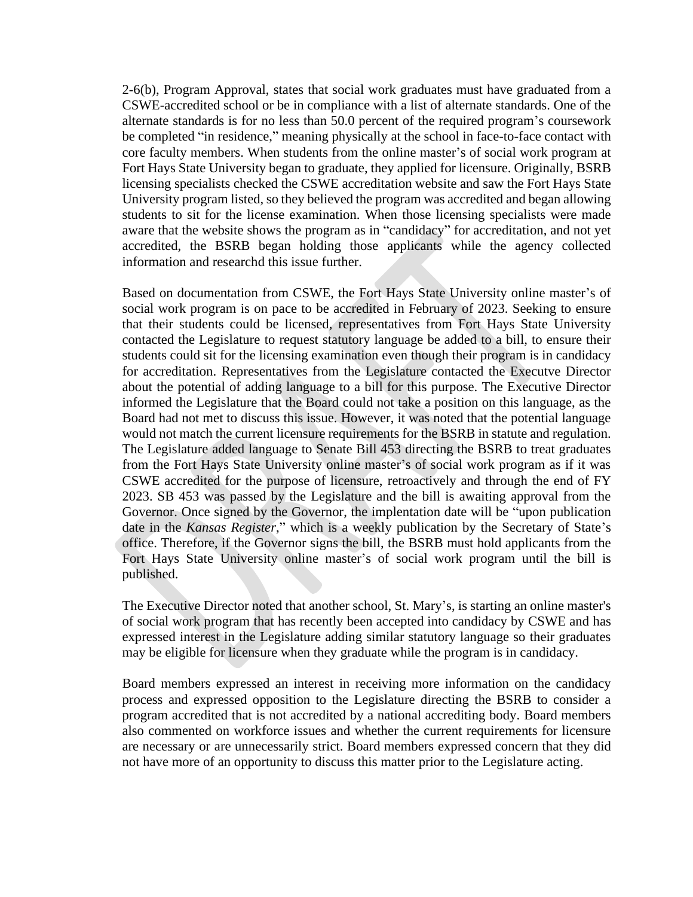2-6(b), Program Approval, states that social work graduates must have graduated from a CSWE-accredited school or be in compliance with a list of alternate standards. One of the alternate standards is for no less than 50.0 percent of the required program's coursework be completed "in residence," meaning physically at the school in face-to-face contact with core faculty members. When students from the online master's of social work program at Fort Hays State University began to graduate, they applied for licensure. Originally, BSRB licensing specialists checked the CSWE accreditation website and saw the Fort Hays State University program listed, so they believed the program was accredited and began allowing students to sit for the license examination. When those licensing specialists were made aware that the website shows the program as in "candidacy" for accreditation, and not yet accredited, the BSRB began holding those applicants while the agency collected information and researchd this issue further.

Based on documentation from CSWE, the Fort Hays State University online master's of social work program is on pace to be accredited in February of 2023. Seeking to ensure that their students could be licensed, representatives from Fort Hays State University contacted the Legislature to request statutory language be added to a bill, to ensure their students could sit for the licensing examination even though their program is in candidacy for accreditation. Representatives from the Legislature contacted the Executve Director about the potential of adding language to a bill for this purpose. The Executive Director informed the Legislature that the Board could not take a position on this language, as the Board had not met to discuss this issue. However, it was noted that the potential language would not match the current licensure requirements for the BSRB in statute and regulation. The Legislature added language to Senate Bill 453 directing the BSRB to treat graduates from the Fort Hays State University online master's of social work program as if it was CSWE accredited for the purpose of licensure, retroactively and through the end of FY 2023. SB 453 was passed by the Legislature and the bill is awaiting approval from the Governor. Once signed by the Governor, the implentation date will be "upon publication date in the *Kansas Register*," which is a weekly publication by the Secretary of State's office. Therefore, if the Governor signs the bill, the BSRB must hold applicants from the Fort Hays State University online master's of social work program until the bill is published.

The Executive Director noted that another school, St. Mary's, is starting an online master's of social work program that has recently been accepted into candidacy by CSWE and has expressed interest in the Legislature adding similar statutory language so their graduates may be eligible for licensure when they graduate while the program is in candidacy.

Board members expressed an interest in receiving more information on the candidacy process and expressed opposition to the Legislature directing the BSRB to consider a program accredited that is not accredited by a national accrediting body. Board members also commented on workforce issues and whether the current requirements for licensure are necessary or are unnecessarily strict. Board members expressed concern that they did not have more of an opportunity to discuss this matter prior to the Legislature acting.